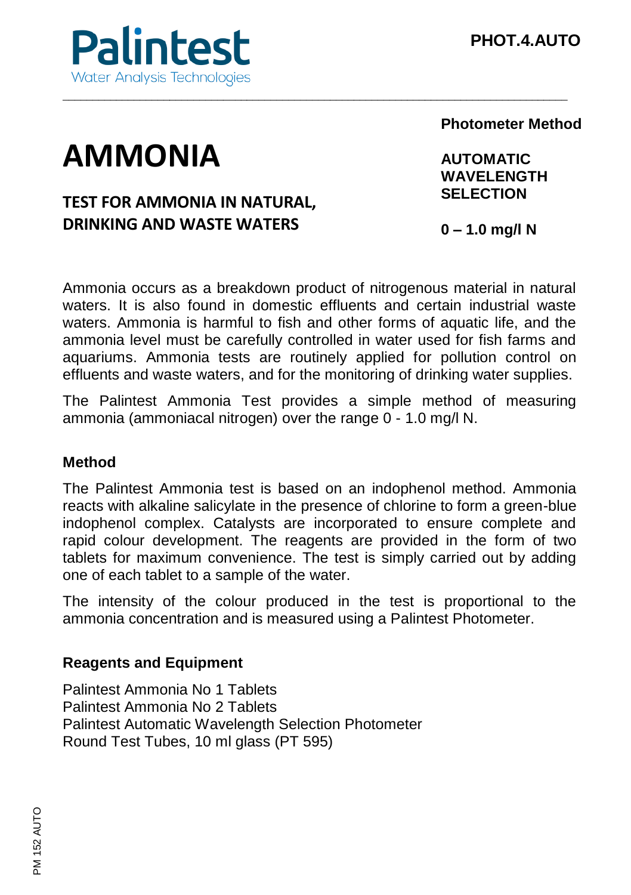

# **AMMONIA**

# **TEST FOR AMMONIA IN NATURAL, DRINKING AND WASTE WATERS**

**Photometer Method**

**AUTOMATIC WAVELENGTH SELECTION**

**0 – 1.0 mg/l N**

Ammonia occurs as a breakdown product of nitrogenous material in natural waters. It is also found in domestic effluents and certain industrial waste waters. Ammonia is harmful to fish and other forms of aquatic life, and the ammonia level must be carefully controlled in water used for fish farms and aquariums. Ammonia tests are routinely applied for pollution control on effluents and waste waters, and for the monitoring of drinking water supplies.

\_\_\_\_\_\_\_\_\_\_\_\_\_\_\_\_\_\_\_\_\_\_\_\_\_\_\_\_\_\_\_\_\_\_\_\_\_\_\_\_\_\_\_\_\_\_\_\_\_\_\_\_\_\_\_\_\_\_\_\_\_\_\_\_\_\_\_\_\_\_\_\_\_\_\_\_\_\_\_\_\_\_\_\_\_

The Palintest Ammonia Test provides a simple method of measuring ammonia (ammoniacal nitrogen) over the range 0 - 1.0 mg/l N.

## **Method**

The Palintest Ammonia test is based on an indophenol method. Ammonia reacts with alkaline salicylate in the presence of chlorine to form a green-blue indophenol complex. Catalysts are incorporated to ensure complete and rapid colour development. The reagents are provided in the form of two tablets for maximum convenience. The test is simply carried out by adding one of each tablet to a sample of the water.

The intensity of the colour produced in the test is proportional to the ammonia concentration and is measured using a Palintest Photometer.

#### **Reagents and Equipment**

Palintest Ammonia No 1 Tablets Palintest Ammonia No 2 Tablets Palintest Automatic Wavelength Selection Photometer Round Test Tubes, 10 ml glass (PT 595)